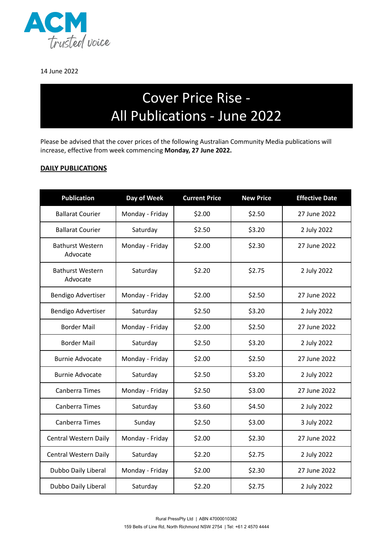

14 June 2022

## Cover Price Rise - All Publications - June 2022

Please be advised that the cover prices of the following Australian Community Media publications will increase, effective from week commencing **Monday, 27 June 2022.**

## **DAILY PUBLICATIONS**

| <b>Publication</b>                  | Day of Week     | <b>Current Price</b> | <b>New Price</b> | <b>Effective Date</b> |
|-------------------------------------|-----------------|----------------------|------------------|-----------------------|
| <b>Ballarat Courier</b>             | Monday - Friday | \$2.00               | \$2.50           | 27 June 2022          |
| <b>Ballarat Courier</b>             | Saturday        | \$2.50               | \$3.20           | 2 July 2022           |
| <b>Bathurst Western</b><br>Advocate | Monday - Friday | \$2.00               | \$2.30           | 27 June 2022          |
| <b>Bathurst Western</b><br>Advocate | Saturday        | \$2.20               | \$2.75           | 2 July 2022           |
| <b>Bendigo Advertiser</b>           | Monday - Friday | \$2.00               | \$2.50           | 27 June 2022          |
| Bendigo Advertiser                  | Saturday        | \$2.50               | \$3.20           | 2 July 2022           |
| <b>Border Mail</b>                  | Monday - Friday | \$2.00               | \$2.50           | 27 June 2022          |
| <b>Border Mail</b>                  | Saturday        | \$2.50               | \$3.20           | 2 July 2022           |
| <b>Burnie Advocate</b>              | Monday - Friday | \$2.00               | \$2.50           | 27 June 2022          |
| <b>Burnie Advocate</b>              | Saturday        | \$2.50               | \$3.20           | 2 July 2022           |
| Canberra Times                      | Monday - Friday | \$2.50               | \$3.00           | 27 June 2022          |
| Canberra Times                      | Saturday        | \$3.60               | \$4.50           | 2 July 2022           |
| <b>Canberra Times</b>               | Sunday          | \$2.50               | \$3.00           | 3 July 2022           |
| Central Western Daily               | Monday - Friday | \$2.00               | \$2.30           | 27 June 2022          |
| Central Western Daily               | Saturday        | \$2.20               | \$2.75           | 2 July 2022           |
| Dubbo Daily Liberal                 | Monday - Friday | \$2.00               | \$2.30           | 27 June 2022          |
| Dubbo Daily Liberal                 | Saturday        | \$2.20               | \$2.75           | 2 July 2022           |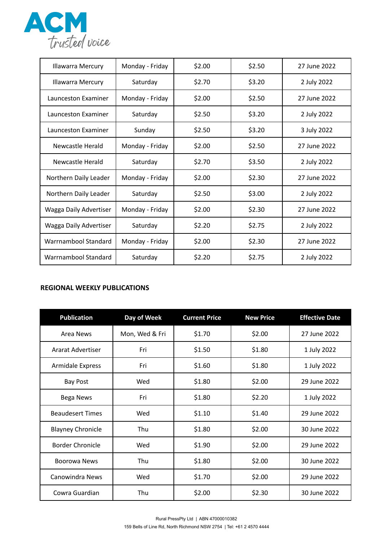

| <b>Illawarra Mercury</b> | Monday - Friday | \$2.00 | \$2.50 | 27 June 2022 |
|--------------------------|-----------------|--------|--------|--------------|
| <b>Illawarra Mercury</b> | Saturday        | \$2.70 | \$3.20 | 2 July 2022  |
| Launceston Examiner      | Monday - Friday | \$2.00 | \$2.50 | 27 June 2022 |
| Launceston Examiner      | Saturday        | \$2.50 | \$3.20 | 2 July 2022  |
| Launceston Examiner      | Sunday          | \$2.50 | \$3.20 | 3 July 2022  |
| Newcastle Herald         | Monday - Friday | \$2.00 | \$2.50 | 27 June 2022 |
| Newcastle Herald         | Saturday        | \$2.70 | \$3.50 | 2 July 2022  |
| Northern Daily Leader    | Monday - Friday | \$2.00 | \$2.30 | 27 June 2022 |
| Northern Daily Leader    | Saturday        | \$2.50 | \$3.00 | 2 July 2022  |
| Wagga Daily Advertiser   | Monday - Friday | \$2.00 | \$2.30 | 27 June 2022 |
| Wagga Daily Advertiser   | Saturday        | \$2.20 | \$2.75 | 2 July 2022  |
| Warrnambool Standard     | Monday - Friday | \$2.00 | \$2.30 | 27 June 2022 |
| Warrnambool Standard     | Saturday        | \$2.20 | \$2.75 | 2 July 2022  |

## **REGIONAL WEEKLY PUBLICATIONS**

| <b>Publication</b>       | Day of Week    | <b>Current Price</b> | <b>New Price</b> | <b>Effective Date</b> |
|--------------------------|----------------|----------------------|------------------|-----------------------|
| Area News                | Mon, Wed & Fri | \$1.70               | \$2.00           | 27 June 2022          |
| Ararat Advertiser        | Fri            | \$1.50               | \$1.80           | 1 July 2022           |
| <b>Armidale Express</b>  | Fri            | \$1.60               | \$1.80           | 1 July 2022           |
| <b>Bay Post</b>          | Wed            | \$1.80               | \$2.00           | 29 June 2022          |
| Bega News                | Fri            | \$1.80               | \$2.20           | 1 July 2022           |
| <b>Beaudesert Times</b>  | Wed            | \$1.10               | \$1.40           | 29 June 2022          |
| <b>Blayney Chronicle</b> | Thu            | \$1.80               | \$2.00           | 30 June 2022          |
| Border Chronicle         | Wed            | \$1.90               | \$2.00           | 29 June 2022          |
| Boorowa News             | Thu            | \$1.80               | \$2.00           | 30 June 2022          |
| Canowindra News          | Wed            | \$1.70               | \$2.00           | 29 June 2022          |
| Cowra Guardian           | Thu            | \$2.00               | \$2.30           | 30 June 2022          |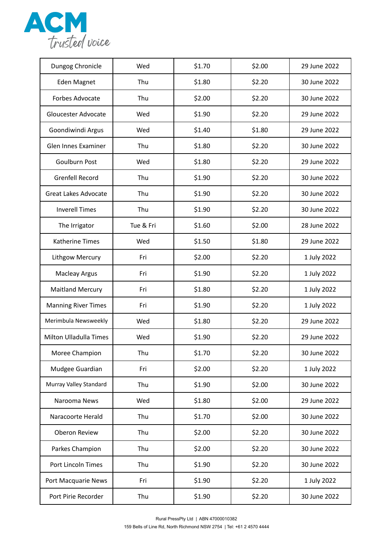

| Dungog Chronicle              | Wed       | \$1.70 | \$2.00 | 29 June 2022 |
|-------------------------------|-----------|--------|--------|--------------|
| <b>Eden Magnet</b>            | Thu       | \$1.80 | \$2.20 | 30 June 2022 |
| Forbes Advocate               | Thu       | \$2.00 | \$2.20 | 30 June 2022 |
| Gloucester Advocate           | Wed       | \$1.90 | \$2.20 | 29 June 2022 |
| Goondiwindi Argus             | Wed       | \$1.40 | \$1.80 | 29 June 2022 |
| Glen Innes Examiner           | Thu       | \$1.80 | \$2.20 | 30 June 2022 |
| <b>Goulburn Post</b>          | Wed       | \$1.80 | \$2.20 | 29 June 2022 |
| <b>Grenfell Record</b>        | Thu       | \$1.90 | \$2.20 | 30 June 2022 |
| <b>Great Lakes Advocate</b>   | Thu       | \$1.90 | \$2.20 | 30 June 2022 |
| <b>Inverell Times</b>         | Thu       | \$1.90 | \$2.20 | 30 June 2022 |
| The Irrigator                 | Tue & Fri | \$1.60 | \$2.00 | 28 June 2022 |
| <b>Katherine Times</b>        | Wed       | \$1.50 | \$1.80 | 29 June 2022 |
| Lithgow Mercury               | Fri       | \$2.00 | \$2.20 | 1 July 2022  |
| <b>Macleay Argus</b>          | Fri       | \$1.90 | \$2.20 | 1 July 2022  |
| <b>Maitland Mercury</b>       | Fri       | \$1.80 | \$2.20 | 1 July 2022  |
| <b>Manning River Times</b>    | Fri       | \$1.90 | \$2.20 | 1 July 2022  |
| Merimbula Newsweekly          | Wed       | \$1.80 | \$2.20 | 29 June 2022 |
| <b>Milton Ulladulla Times</b> | Wed       | \$1.90 | \$2.20 | 29 June 2022 |
| Moree Champion                | Thu       | \$1.70 | \$2.20 | 30 June 2022 |
| Mudgee Guardian               | Fri       | \$2.00 | \$2.20 | 1 July 2022  |
| Murray Valley Standard        | Thu       | \$1.90 | \$2.00 | 30 June 2022 |
| Narooma News                  | Wed       | \$1.80 | \$2.00 | 29 June 2022 |
| Naracoorte Herald             | Thu       | \$1.70 | \$2.00 | 30 June 2022 |
| Oberon Review                 | Thu       | \$2.00 | \$2.20 | 30 June 2022 |
| Parkes Champion               | Thu       | \$2.00 | \$2.20 | 30 June 2022 |
| Port Lincoln Times            | Thu       | \$1.90 | \$2.20 | 30 June 2022 |
| Port Macquarie News           | Fri       | \$1.90 | \$2.20 | 1 July 2022  |
| Port Pirie Recorder           | Thu       | \$1.90 | \$2.20 | 30 June 2022 |
|                               |           |        |        |              |